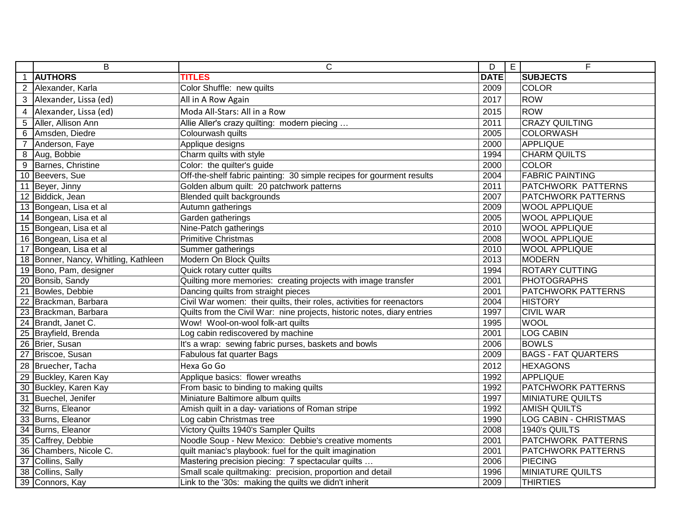|                | B                                    | $\mathsf{C}$                                                            | D           | $\overline{E}$<br>F        |
|----------------|--------------------------------------|-------------------------------------------------------------------------|-------------|----------------------------|
| $\overline{1}$ | <b>AUTHORS</b>                       | <b>TITLES</b>                                                           | <b>DATE</b> | <b>SUBJECTS</b>            |
|                | 2 Alexander, Karla                   | Color Shuffle: new quilts                                               | 2009        | <b>COLOR</b>               |
| 3              | Alexander, Lissa (ed)                | All in A Row Again                                                      | 2017        | <b>ROW</b>                 |
| 4              | Alexander, Lissa (ed)                | Moda All-Stars: All in a Row                                            | 2015        | <b>ROW</b>                 |
| 5              | Aller, Allison Ann                   | Allie Aller's crazy quilting: modern piecing                            | 2011        | <b>CRAZY QUILTING</b>      |
| 6              | Amsden, Diedre                       | Colourwash quilts                                                       | 2005        | <b>COLORWASH</b>           |
| $\overline{7}$ | Anderson, Faye                       | Applique designs                                                        | 2000        | <b>APPLIQUE</b>            |
| 8              | Aug, Bobbie                          | Charm quilts with style                                                 | 1994        | <b>CHARM QUILTS</b>        |
| 9              | Barnes, Christine                    | Color: the quilter's guide                                              | 2000        | <b>COLOR</b>               |
|                | 10 Beevers, Sue                      | Off-the-shelf fabric painting: 30 simple recipes for gourment results   | 2004        | <b>FABRIC PAINTING</b>     |
|                | 11 Beyer, Jinny                      | Golden album quilt: 20 patchwork patterns                               | 2011        | PATCHWORK PATTERNS         |
|                | 12 Biddick, Jean                     | Blended quilt backgrounds                                               | 2007        | PATCHWORK PATTERNS         |
|                | 13 Bongean, Lisa et al               | Autumn gatherings                                                       | 2009        | <b>WOOL APPLIQUE</b>       |
|                | 14 Bongean, Lisa et al               | Garden gatherings                                                       | 2005        | <b>WOOL APPLIQUE</b>       |
|                | 15 Bongean, Lisa et al               | Nine-Patch gatherings                                                   | 2010        | <b>WOOL APPLIQUE</b>       |
|                | 16 Bongean, Lisa et al               | <b>Primitive Christmas</b>                                              | 2008        | <b>WOOL APPLIQUE</b>       |
|                | 17 Bongean, Lisa et al               | Summer gatherings                                                       | 2010        | <b>WOOL APPLIQUE</b>       |
|                | 18 Bonner, Nancy, Whitling, Kathleen | Modern On Block Quilts                                                  | 2013        | <b>MODERN</b>              |
|                | 19 Bono, Pam, designer               | Quick rotary cutter quilts                                              | 1994        | <b>ROTARY CUTTING</b>      |
|                | 20 Bonsib, Sandy                     | Quilting more memories: creating projects with image transfer           | 2001        | <b>PHOTOGRAPHS</b>         |
|                | 21 Bowles, Debbie                    | Dancing quilts from straight pieces                                     | 2001        | PATCHWORK PATTERNS         |
|                | 22 Brackman, Barbara                 | Civil War women: their quilts, their roles, activities for reenactors   | 2004        | <b>HISTORY</b>             |
|                | 23 Brackman, Barbara                 | Quilts from the Civil War: nine projects, historic notes, diary entries | 1997        | <b>CIVIL WAR</b>           |
|                | 24 Brandt, Janet C.                  | Wow! Wool-on-wool folk-art quilts                                       | 1995        | <b>WOOL</b>                |
|                | 25 Brayfield, Brenda                 | Log cabin rediscovered by machine                                       | 2001        | <b>LOG CABIN</b>           |
|                | 26 Brier, Susan                      | It's a wrap: sewing fabric purses, baskets and bowls                    | 2006        | <b>BOWLS</b>               |
|                | 27 Briscoe, Susan                    | Fabulous fat quarter Bags                                               | 2009        | <b>BAGS - FAT QUARTERS</b> |
|                | 28 Bruecher, Tacha                   | Hexa Go Go                                                              | 2012        | <b>HEXAGONS</b>            |
|                | 29 Buckley, Karen Kay                | Applique basics: flower wreaths                                         | 1992        | <b>APPLIQUE</b>            |
|                | 30 Buckley, Karen Kay                | From basic to binding to making quilts                                  | 1992        | PATCHWORK PATTERNS         |
|                | 31 Buechel, Jenifer                  | Miniature Baltimore album quilts                                        | 1997        | <b>MINIATURE QUILTS</b>    |
|                | 32 Burns, Eleanor                    | Amish quilt in a day- variations of Roman stripe                        | 1992        | <b>AMISH QUILTS</b>        |
|                | 33 Burns, Eleanor                    | Log cabin Christmas tree                                                | 1990        | LOG CABIN - CHRISTMAS      |
|                | 34 Burns, Eleanor                    | Victory Quilts 1940's Sampler Quilts                                    | 2008        | 1940's QUILTS              |
|                | 35 Caffrey, Debbie                   | Noodle Soup - New Mexico: Debbie's creative moments                     | 2001        | PATCHWORK PATTERNS         |
|                | 36 Chambers, Nicole C.               | quilt maniac's playbook: fuel for the quilt imagination                 | 2001        | PATCHWORK PATTERNS         |
|                | 37 Collins, Sally                    | Mastering precision piecing: 7 spectacular quilts                       | 2006        | <b>PIECING</b>             |
|                | 38 Collins, Sally                    | Small scale quiltmaking: precision, proportion and detail               | 1996        | <b>MINIATURE QUILTS</b>    |
|                | 39 Connors, Kay                      | Link to the '30s: making the quilts we didn't inherit                   | 2009        | <b>THIRTIES</b>            |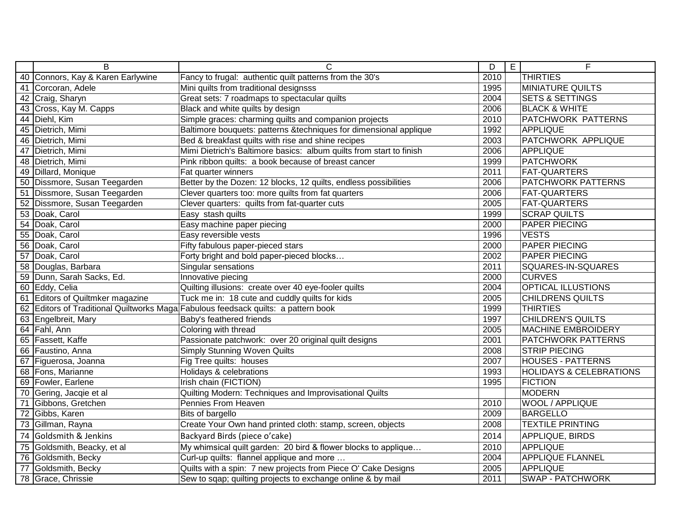|                 | $\overline{B}$                    | $\overline{C}$                                                                     | D    | E | F                                  |
|-----------------|-----------------------------------|------------------------------------------------------------------------------------|------|---|------------------------------------|
|                 | 40 Connors, Kay & Karen Earlywine | Fancy to frugal: authentic quilt patterns from the 30's                            | 2010 |   | <b>THIRTIES</b>                    |
|                 | 41 Corcoran, Adele                | Mini quilts from traditional designsss                                             | 1995 |   | <b>MINIATURE QUILTS</b>            |
|                 | 42 Craig, Sharyn                  | Great sets: 7 roadmaps to spectacular quilts                                       | 2004 |   | <b>SETS &amp; SETTINGS</b>         |
|                 | 43 Cross, Kay M. Capps            | Black and white quilts by design                                                   | 2006 |   | <b>BLACK &amp; WHITE</b>           |
|                 | 44 Diehl, Kim                     | Simple graces: charming quilts and companion projects                              | 2010 |   | PATCHWORK PATTERNS                 |
|                 | 45 Dietrich, Mimi                 | Baltimore bouquets: patterns &techniques for dimensional applique                  | 1992 |   | <b>APPLIQUE</b>                    |
|                 | 46 Dietrich, Mimi                 | Bed & breakfast quilts with rise and shine recipes                                 | 2003 |   | PATCHWORK APPLIQUE                 |
|                 | 47 Dietrich, Mimi                 | Mimi Dietrich's Baltimore basics: album quilts from start to finish                | 2006 |   | APPLIQUE                           |
|                 | 48 Dietrich, Mimi                 | Pink ribbon quilts: a book because of breast cancer                                | 1999 |   | <b>PATCHWORK</b>                   |
|                 | 49 Dillard, Monique               | Fat quarter winners                                                                | 2011 |   | <b>FAT-QUARTERS</b>                |
|                 | 50 Dissmore, Susan Teegarden      | Better by the Dozen: 12 blocks, 12 quilts, endless possibilities                   | 2006 |   | PATCHWORK PATTERNS                 |
| $\overline{51}$ | Dissmore, Susan Teegarden         | Clever quarters too: more quilts from fat quarters                                 | 2006 |   | <b>FAT-QUARTERS</b>                |
| 52              | Dissmore, Susan Teegarden         | Clever quarters: quilts from fat-quarter cuts                                      | 2005 |   | <b>FAT-QUARTERS</b>                |
|                 | 53 Doak, Carol                    | Easy stash quilts                                                                  | 1999 |   | <b>SCRAP QUILTS</b>                |
|                 | 54 Doak, Carol                    | Easy machine paper piecing                                                         | 2000 |   | <b>PAPER PIECING</b>               |
|                 | 55 Doak, Carol                    | Easy reversible vests                                                              | 1996 |   | <b>VESTS</b>                       |
|                 | 56 Doak, Carol                    | Fifty fabulous paper-pieced stars                                                  | 2000 |   | <b>PAPER PIECING</b>               |
| $\overline{57}$ | Doak, Carol                       | Forty bright and bold paper-pieced blocks                                          | 2002 |   | <b>PAPER PIECING</b>               |
|                 | 58 Douglas, Barbara               | Singular sensations                                                                | 2011 |   | SQUARES-IN-SQUARES                 |
|                 | 59 Dunn, Sarah Sacks, Ed.         | Innovative piecing                                                                 | 2000 |   | <b>CURVES</b>                      |
|                 | 60 Eddy, Celia                    | Quilting illusions: create over 40 eye-fooler quilts                               | 2004 |   | OPTICAL ILLUSTIONS                 |
|                 | 61 Editors of Quiltmker magazine  | Tuck me in: 18 cute and cuddly quilts for kids                                     | 2005 |   | <b>CHILDRENS QUILTS</b>            |
|                 |                                   | 62 Editors of Traditional Quiltworks Maga Fabulous feedsack quilts: a pattern book | 1999 |   | <b>THIRTIES</b>                    |
|                 | 63 Engelbreit, Mary               | Baby's feathered friends                                                           | 1997 |   | <b>CHILDREN'S QUILTS</b>           |
|                 | 64 Fahl, Ann                      | Coloring with thread                                                               | 2005 |   | <b>MACHINE EMBROIDERY</b>          |
|                 | 65 Fassett, Kaffe                 | Passionate patchwork: over 20 original quilt designs                               | 2001 |   | <b>PATCHWORK PATTERNS</b>          |
|                 | 66 Faustino, Anna                 | <b>Simply Stunning Woven Quilts</b>                                                | 2008 |   | <b>STRIP PIECING</b>               |
|                 | 67 Figuerosa, Joanna              | Fig Tree quilts: houses                                                            | 2007 |   | <b>HOUSES - PATTERNS</b>           |
|                 | 68 Fons, Marianne                 | Holidays & celebrations                                                            | 1993 |   | <b>HOLIDAYS &amp; CELEBRATIONS</b> |
|                 | 69 Fowler, Earlene                | Irish chain (FICTION)                                                              | 1995 |   | <b>FICTION</b>                     |
|                 | 70 Gering, Jacqie et al           | Quilting Modern: Techniques and Improvisational Quilts                             |      |   | MODERN                             |
| $\overline{71}$ | Gibbons, Gretchen                 | Pennies From Heaven                                                                | 2010 |   | WOOL / APPLIQUE                    |
|                 | 72 Gibbs, Karen                   | Bits of bargello                                                                   | 2009 |   | <b>BARGELLO</b>                    |
|                 | 73 Gillman, Rayna                 | Create Your Own hand printed cloth: stamp, screen, objects                         | 2008 |   | <b>TEXTILE PRINTING</b>            |
|                 | 74 Goldsmith & Jenkins            | Backyard Birds (piece o'cake)                                                      | 2014 |   | APPLIQUE, BIRDS                    |
|                 | 75 Goldsmith, Beacky, et al       | My whimsical quilt garden: 20 bird & flower blocks to applique                     | 2010 |   | <b>APPLIQUE</b>                    |
|                 | 76 Goldsmith, Becky               | Curl-up quilts: flannel applique and more                                          | 2004 |   | <b>APPLIQUE FLANNEL</b>            |
|                 | 77 Goldsmith, Becky               | Quilts with a spin: 7 new projects from Piece O' Cake Designs                      | 2005 |   | <b>APPLIQUE</b>                    |
|                 | 78 Grace, Chrissie                | Sew to sqap; quilting projects to exchange online & by mail                        | 2011 |   | <b>SWAP - PATCHWORK</b>            |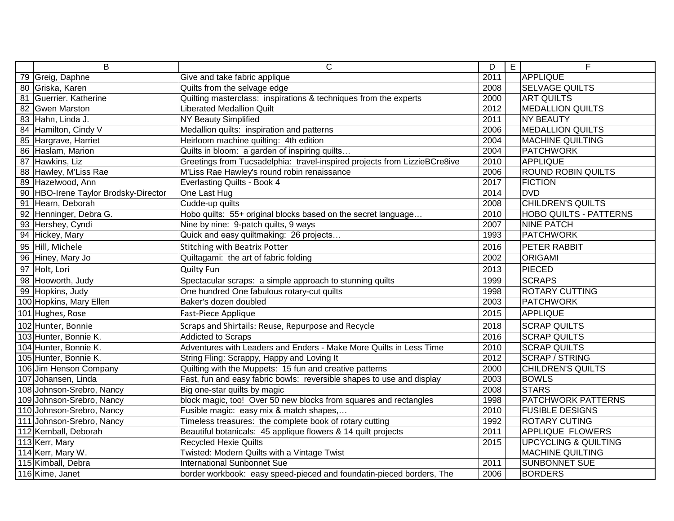| $\overline{B}$                       | $\overline{C}$                                                            | D    | E | F                               |
|--------------------------------------|---------------------------------------------------------------------------|------|---|---------------------------------|
| 79 Greig, Daphne                     | Give and take fabric applique                                             | 2011 |   | <b>APPLIQUE</b>                 |
| 80 Griska, Karen                     | Quilts from the selvage edge                                              | 2008 |   | <b>SELVAGE QUILTS</b>           |
| 81 Guerrier. Katherine               | Quilting masterclass: inspirations & techniques from the experts          | 2000 |   | <b>ART QUILTS</b>               |
| 82 Gwen Marston                      | <b>Liberated Medallion Quilt</b>                                          | 2012 |   | <b>MEDALLION QUILTS</b>         |
| 83 Hahn, Linda J.                    | <b>NY Beauty Simplified</b>                                               | 2011 |   | <b>NY BEAUTY</b>                |
| 84 Hamilton, Cindy V                 | Medallion quilts: inspiration and patterns                                | 2006 |   | <b>MEDALLION QUILTS</b>         |
| 85 Hargrave, Harriet                 | Heirloom machine quilting: 4th edition                                    | 2004 |   | <b>MACHINE QUILTING</b>         |
| 86 Haslam, Marion                    | Quilts in bloom: a garden of inspiring quilts                             | 2004 |   | <b>PATCHWORK</b>                |
| 87 Hawkins, Liz                      | Greetings from Tucsadelphia: travel-inspired projects from LizzieBCre8ive | 2010 |   | <b>APPLIQUE</b>                 |
| 88 Hawley, M'Liss Rae                | M'Liss Rae Hawley's round robin renaissance                               | 2006 |   | <b>ROUND ROBIN QUILTS</b>       |
| 89 Hazelwood, Ann                    | <b>Everlasting Quilts - Book 4</b>                                        | 2017 |   | <b>FICTION</b>                  |
| 90 HBO-Irene Taylor Brodsky-Director | One Last Hug                                                              | 2014 |   | <b>DVD</b>                      |
| 91 Hearn, Deborah                    | Cudde-up quilts                                                           | 2008 |   | <b>CHILDREN'S QUILTS</b>        |
| 92 Henninger, Debra G.               | Hobo quilts: 55+ original blocks based on the secret language             | 2010 |   | <b>HOBO QUILTS - PATTERNS</b>   |
| 93 Hershey, Cyndi                    | Nine by nine: 9-patch quilts, 9 ways                                      | 2007 |   | <b>NINE PATCH</b>               |
| 94 Hickey, Mary                      | Quick and easy quiltmaking: 26 projects                                   | 1993 |   | <b>PATCHWORK</b>                |
| 95 Hill, Michele                     | <b>Stitching with Beatrix Potter</b>                                      | 2016 |   | PETER RABBIT                    |
| 96 Hiney, Mary Jo                    | Quiltagami: the art of fabric folding                                     | 2002 |   | <b>ORIGAMI</b>                  |
| 97 Holt, Lori                        | <b>Quilty Fun</b>                                                         | 2013 |   | <b>PIECED</b>                   |
| 98 Hooworth, Judy                    | Spectacular scraps: a simple approach to stunning quilts                  | 1999 |   | <b>SCRAPS</b>                   |
| 99 Hopkins, Judy                     | One hundred One fabulous rotary-cut quilts                                | 1998 |   | <b>ROTARY CUTTING</b>           |
| 100 Hopkins, Mary Ellen              | Baker's dozen doubled                                                     | 2003 |   | <b>PATCHWORK</b>                |
| 101 Hughes, Rose                     | Fast-Piece Applique                                                       | 2015 |   | <b>APPLIQUE</b>                 |
| 102 Hunter, Bonnie                   | Scraps and Shirtails: Reuse, Repurpose and Recycle                        | 2018 |   | <b>SCRAP QUILTS</b>             |
| 103 Hunter, Bonnie K.                | <b>Addicted to Scraps</b>                                                 | 2016 |   | <b>SCRAP QUILTS</b>             |
| 104 Hunter, Bonnie K.                | Adventures with Leaders and Enders - Make More Quilts in Less Time        | 2010 |   | <b>SCRAP QUILTS</b>             |
| 105 Hunter, Bonnie K.                | String Fling: Scrappy, Happy and Loving It                                | 2012 |   | <b>SCRAP / STRING</b>           |
| 106 Jim Henson Company               | Quilting with the Muppets: 15 fun and creative patterns                   | 2000 |   | <b>CHILDREN'S QUILTS</b>        |
| 107 Johansen, Linda                  | Fast, fun and easy fabric bowls: reversible shapes to use and display     | 2003 |   | <b>BOWLS</b>                    |
| 108 Johnson-Srebro, Nancy            | Big one-star quilts by magic                                              | 2008 |   | <b>STARS</b>                    |
| 109 Johnson-Srebro, Nancy            | block magic, too! Over 50 new blocks from squares and rectangles          | 1998 |   | <b>PATCHWORK PATTERNS</b>       |
| 110 Johnson-Srebro, Nancy            | Fusible magic: easy mix & match shapes,                                   | 2010 |   | <b>FUSIBLE DESIGNS</b>          |
| 111 Johnson-Srebro, Nancy            | Timeless treasures: the complete book of rotary cutting                   | 1992 |   | <b>ROTARY CUTING</b>            |
| 112 Kemball, Deborah                 | Beautiful botanicals: 45 applique flowers & 14 quilt projects             | 2011 |   | APPLIQUE FLOWERS                |
| 113 Kerr, Mary                       | <b>Recycled Hexie Quilts</b>                                              | 2015 |   | <b>UPCYCLING &amp; QUILTING</b> |
| 114 Kerr, Mary W.                    | Twisted: Modern Quilts with a Vintage Twist                               |      |   | <b>MACHINE QUILTING</b>         |
| 115 Kimball, Debra                   | <b>International Sunbonnet Sue</b>                                        | 2011 |   | <b>SUNBONNET SUE</b>            |
| 116 Kime, Janet                      | border workbook: easy speed-pieced and foundatin-pieced borders, The      | 2006 |   | <b>BORDERS</b>                  |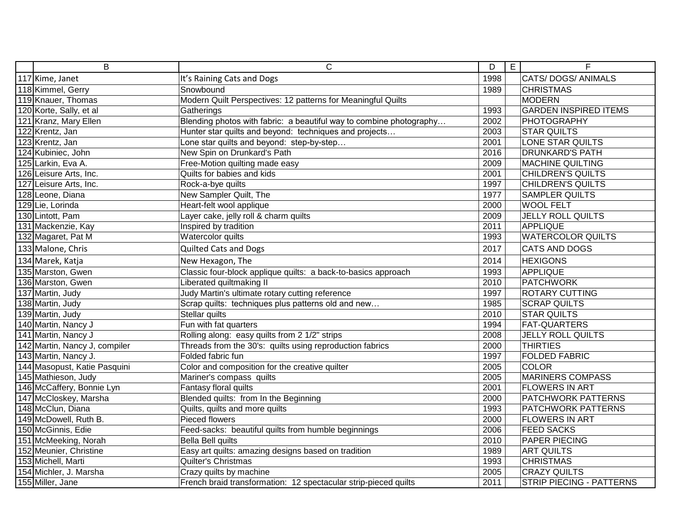| B                             | $\overline{C}$                                                      | $\overline{D}$ | $\overline{E}$ | E                            |
|-------------------------------|---------------------------------------------------------------------|----------------|----------------|------------------------------|
| 117 Kime, Janet               | It's Raining Cats and Dogs                                          | 1998           |                | CATS/DOGS/ANIMALS            |
| 118 Kimmel, Gerry             | Snowbound                                                           | 1989           |                | <b>CHRISTMAS</b>             |
| 119 Knauer, Thomas            | Modern Quilt Perspectives: 12 patterns for Meaningful Quilts        |                |                | <b>MODERN</b>                |
| 120 Korte, Sally, et al       | Gatherings                                                          | 1993           |                | <b>GARDEN INSPIRED ITEMS</b> |
| 121 Kranz, Mary Ellen         | Blending photos with fabric: a beautiful way to combine photography | 2002           |                | <b>PHOTOGRAPHY</b>           |
| 122 Krentz, Jan               | Hunter star quilts and beyond: techniques and projects              | 2003           |                | <b>STAR QUILTS</b>           |
| 123 Krentz, Jan               | Lone star quilts and beyond: step-by-step                           | 2001           |                | LONE STAR QUILTS             |
| 124 Kubiniec, John            | New Spin on Drunkard's Path                                         | 2016           |                | <b>DRUNKARD'S PATH</b>       |
| 125 Larkin, Eva A.            | Free-Motion quilting made easy                                      | 2009           |                | <b>MACHINE QUILTING</b>      |
| 126 Leisure Arts, Inc.        | Quilts for babies and kids                                          | 2001           |                | <b>CHILDREN'S QUILTS</b>     |
| 127 Leisure Arts, Inc.        | Rock-a-bye quilts                                                   | 1997           |                | <b>CHILDREN'S QUILTS</b>     |
| 128 Leone, Diana              | New Sampler Quilt, The                                              | 1977           |                | <b>SAMPLER QUILTS</b>        |
| 129 Lie, Lorinda              | Heart-felt wool applique                                            | 2000           |                | <b>WOOL FELT</b>             |
| 130 Lintott, Pam              | Layer cake, jelly roll & charm quilts                               | 2009           |                | <b>JELLY ROLL QUILTS</b>     |
| 131 Mackenzie, Kay            | Inspired by tradition                                               | 2011           |                | <b>APPLIQUE</b>              |
| 132 Magaret, Pat M            | Watercolor quilts                                                   | 1993           |                | <b>WATERCOLOR QUILTS</b>     |
| 133 Malone, Chris             | <b>Quilted Cats and Dogs</b>                                        | 2017           |                | <b>CATS AND DOGS</b>         |
| 134 Marek, Katja              | New Hexagon, The                                                    | 2014           |                | <b>HEXIGONS</b>              |
| 135 Marston, Gwen             | Classic four-block applique quilts: a back-to-basics approach       | 1993           |                | <b>APPLIQUE</b>              |
| 136 Marston, Gwen             | Liberated quiltmaking II                                            | 2010           |                | <b>PATCHWORK</b>             |
| 137 Martin, Judy              | Judy Martin's ultimate rotary cutting reference                     | 1997           |                | <b>ROTARY CUTTING</b>        |
| 138 Martin, Judy              | Scrap quilts: techniques plus patterns old and new                  | 1985           |                | <b>SCRAP QUILTS</b>          |
| 139 Martin, Judy              | Stellar quilts                                                      | 2010           |                | <b>STAR QUILTS</b>           |
| 140 Martin, Nancy J           | Fun with fat quarters                                               | 1994           |                | <b>FAT-QUARTERS</b>          |
| 141 Martin, Nancy J           | Rolling along: easy quilts from 2 1/2" strips                       | 2008           |                | <b>JELLY ROLL QUILTS</b>     |
| 142 Martin, Nancy J, compiler | Threads from the 30's: quilts using reproduction fabrics            | 2000           |                | <b>THIRTIES</b>              |
| 143 Martin, Nancy J.          | Folded fabric fun                                                   | 1997           |                | <b>FOLDED FABRIC</b>         |
| 144 Masopust, Katie Pasquini  | Color and composition for the creative quilter                      | 2005           |                | <b>COLOR</b>                 |
| 145 Mathieson, Judy           | Mariner's compass quilts                                            | 2005           |                | <b>MARINERS COMPASS</b>      |
| 146 McCaffery, Bonnie Lyn     | Fantasy floral quilts                                               | 2001           |                | <b>FLOWERS IN ART</b>        |
| 147 McCloskey, Marsha         | Blended quilts: from In the Beginning                               | 2000           |                | PATCHWORK PATTERNS           |
| 148 McClun, Diana             | Quilts, quilts and more quilts                                      | 1993           |                | PATCHWORK PATTERNS           |
| 149 McDowell, Ruth B.         | Pieced flowers                                                      | 2000           |                | <b>FLOWERS IN ART</b>        |
| 150 McGinnis, Edie            | Feed-sacks: beautiful quilts from humble beginnings                 | 2006           |                | <b>FEED SACKS</b>            |
| 151 McMeeking, Norah          | Bella Bell quilts                                                   | 2010           |                | <b>PAPER PIECING</b>         |
| 152 Meunier, Christine        | Easy art quilts: amazing designs based on tradition                 | 1989           |                | <b>ART QUILTS</b>            |
| 153 Michell, Marti            | Quilter's Christmas                                                 | 1993           |                | <b>CHRISTMAS</b>             |
| 154 Michler, J. Marsha        | Crazy quilts by machine                                             | 2005           |                | <b>CRAZY QUILTS</b>          |
| 155 Miller, Jane              | French braid transformation: 12 spectacular strip-pieced quilts     | 2011           |                | STRIP PIECING - PATTERNS     |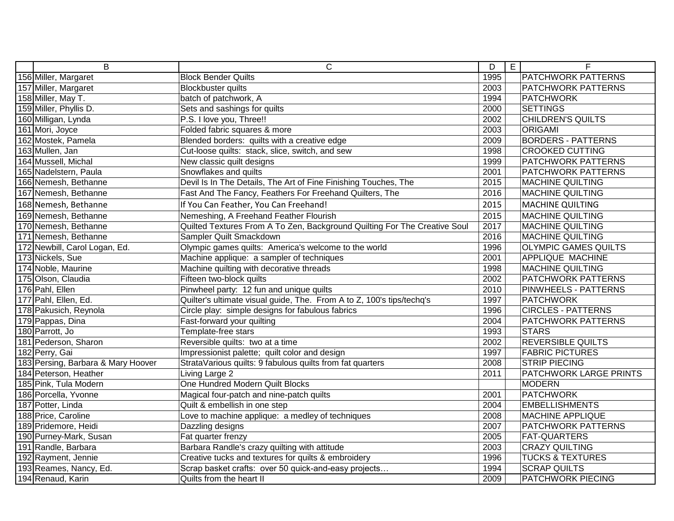| B                                  | $\overline{C}$                                                            | D    | E | F                           |
|------------------------------------|---------------------------------------------------------------------------|------|---|-----------------------------|
| 156 Miller, Margaret               | <b>Block Bender Quilts</b>                                                | 1995 |   | <b>PATCHWORK PATTERNS</b>   |
| 157 Miller, Margaret               | <b>Blockbuster quilts</b>                                                 | 2003 |   | <b>PATCHWORK PATTERNS</b>   |
| 158 Miller, May T.                 | batch of patchwork, A                                                     | 1994 |   | <b>PATCHWORK</b>            |
| 159 Miller, Phyllis D.             | Sets and sashings for quilts                                              | 2000 |   | <b>SETTINGS</b>             |
| 160 Milligan, Lynda                | P.S. I love you, Three!!                                                  | 2002 |   | <b>CHILDREN'S QUILTS</b>    |
| 161 Mori, Joyce                    | Folded fabric squares & more                                              | 2003 |   | <b>ORIGAMI</b>              |
| 162 Mostek, Pamela                 | Blended borders: quilts with a creative edge                              | 2009 |   | <b>BORDERS - PATTERNS</b>   |
| 163 Mullen, Jan                    | Cut-loose quilts: stack, slice, switch, and sew                           | 1998 |   | <b>CROOKED CUTTING</b>      |
| 164 Mussell, Michal                | New classic quilt designs                                                 | 1999 |   | <b>PATCHWORK PATTERNS</b>   |
| 165 Nadelstern, Paula              | Snowflakes and quilts                                                     | 2001 |   | <b>PATCHWORK PATTERNS</b>   |
| 166 Nemesh, Bethanne               | Devil Is In The Details, The Art of Fine Finishing Touches, The           | 2015 |   | <b>MACHINE QUILTING</b>     |
| 167 Nemesh, Bethanne               | Fast And The Fancy, Feathers For Freehand Quilters, The                   | 2016 |   | <b>MACHINE QUILTING</b>     |
| 168 Nemesh, Bethanne               | If You Can Feather, You Can Freehand!                                     | 2015 |   | <b>MACHINE QUILTING</b>     |
| 169 Nemesh, Bethanne               | Nemeshing, A Freehand Feather Flourish                                    | 2015 |   | <b>MACHINE QUILTING</b>     |
| 170 Nemesh, Bethanne               | Quilted Textures From A To Zen, Background Quilting For The Creative Soul | 2017 |   | <b>MACHINE QUILTING</b>     |
| 171 Nemesh, Bethanne               | Sampler Quilt Smackdown                                                   | 2016 |   | <b>MACHINE QUILTING</b>     |
| 172 Newbill, Carol Logan, Ed.      | Olympic games quilts: America's welcome to the world                      | 1996 |   | <b>OLYMPIC GAMES QUILTS</b> |
| 173 Nickels, Sue                   | Machine applique: a sampler of techniques                                 | 2001 |   | <b>APPLIQUE MACHINE</b>     |
| 174 Noble, Maurine                 | Machine quilting with decorative threads                                  | 1998 |   | <b>MACHINE QUILTING</b>     |
| 175 Olson, Claudia                 | Fifteen two-block quilts                                                  | 2002 |   | <b>PATCHWORK PATTERNS</b>   |
| 176 Pahl, Ellen                    | Pinwheel party: 12 fun and unique quilts                                  | 2010 |   | <b>PINWHEELS - PATTERNS</b> |
| 177 Pahl, Ellen, Ed.               | Quilter's ultimate visual guide, The. From A to Z, 100's tips/techq's     | 1997 |   | <b>PATCHWORK</b>            |
| 178 Pakusich, Reynola              | Circle play: simple designs for fabulous fabrics                          | 1996 |   | <b>CIRCLES - PATTERNS</b>   |
| 179 Pappas, Dina                   | Fast-forward your quilting                                                | 2004 |   | <b>PATCHWORK PATTERNS</b>   |
| 180 Parrott, Jo                    | Template-free stars                                                       | 1993 |   | <b>STARS</b>                |
| 181 Pederson, Sharon               | Reversible quilts: two at a time                                          | 2002 |   | <b>REVERSIBLE QUILTS</b>    |
| 182 Perry, Gai                     | Impressionist palette; quilt color and design                             | 1997 |   | <b>FABRIC PICTURES</b>      |
| 183 Persing, Barbara & Mary Hoover | StrataVarious quilts: 9 fabulous quilts from fat quarters                 | 2008 |   | <b>STRIP PIECING</b>        |
| 184 Peterson, Heather              | Living Large 2                                                            | 2011 |   | PATCHWORK LARGE PRINTS      |
| 185 Pink, Tula Modern              | One Hundred Modern Quilt Blocks                                           |      |   | <b>MODERN</b>               |
| 186 Porcella, Yvonne               | Magical four-patch and nine-patch quilts                                  | 2001 |   | <b>PATCHWORK</b>            |
| 187 Potter, Linda                  | Quilt & embellish in one step                                             | 2004 |   | <b>EMBELLISHMENTS</b>       |
| 188 Price, Caroline                | Love to machine applique: a medley of techniques                          | 2008 |   | <b>MACHINE APPLIQUE</b>     |
| 189 Pridemore, Heidi               | Dazzling designs                                                          | 2007 |   | <b>PATCHWORK PATTERNS</b>   |
| 190 Purney-Mark, Susan             | Fat quarter frenzy                                                        | 2005 |   | <b>FAT-QUARTERS</b>         |
| 191 Randle, Barbara                | Barbara Randle's crazy quilting with attitude                             | 2003 |   | <b>CRAZY QUILTING</b>       |
| 192 Rayment, Jennie                | Creative tucks and textures for quilts & embroidery                       | 1996 |   | <b>TUCKS &amp; TEXTURES</b> |
| 193 Reames, Nancy, Ed.             | Scrap basket crafts: over 50 quick-and-easy projects                      | 1994 |   | <b>SCRAP QUILTS</b>         |
| 194 Renaud, Karin                  | Quilts from the heart II                                                  | 2009 |   | <b>PATCHWORK PIECING</b>    |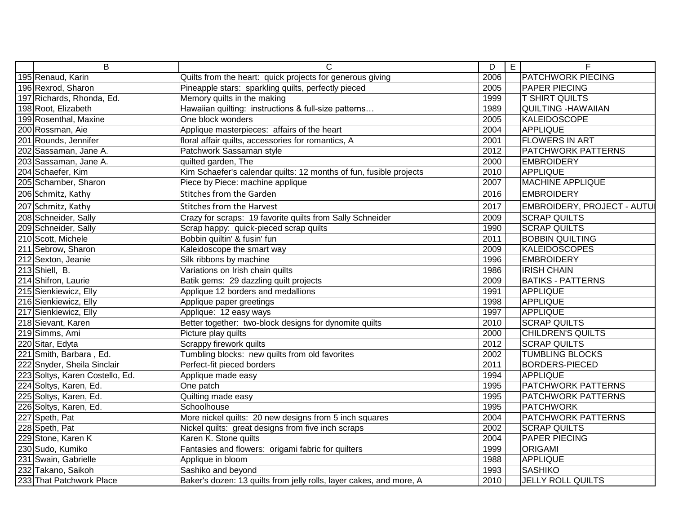| $\overline{B}$                             | $\overline{\text{c}}$                                               | D    | $\overline{E}$ | E                                 |
|--------------------------------------------|---------------------------------------------------------------------|------|----------------|-----------------------------------|
| 195 Renaud, Karin                          | Quilts from the heart: quick projects for generous giving           | 2006 |                | <b>PATCHWORK PIECING</b>          |
| 196 Rexrod, Sharon                         | Pineapple stars: sparkling quilts, perfectly pieced                 | 2005 |                | <b>PAPER PIECING</b>              |
| 197 Richards, Rhonda, Ed.                  | Memory quilts in the making                                         | 1999 |                | <b>T SHIRT QUILTS</b>             |
| 198 Root, Elizabeth                        | Hawaiian quilting: instructions & full-size patterns                | 1989 |                | <b>QUILTING - HAWAIIAN</b>        |
| 199 Rosenthal, Maxine                      | One block wonders                                                   | 2005 |                | <b>KALEIDOSCOPE</b>               |
| 200 Rossman, Aie                           | Applique masterpieces: affairs of the heart                         | 2004 |                | <b>APPLIQUE</b>                   |
| 201 Rounds, Jennifer                       | floral affair quilts, accessories for romantics, A                  | 2001 |                | <b>FLOWERS IN ART</b>             |
| 202 Sassaman, Jane A.                      | Patchwork Sassaman style                                            | 2012 |                | <b>PATCHWORK PATTERNS</b>         |
| 203 Sassaman, Jane A.                      | quilted garden, The                                                 | 2000 |                | <b>EMBROIDERY</b>                 |
| 204 Schaefer, Kim                          | Kim Schaefer's calendar quilts: 12 months of fun, fusible projects  | 2010 |                | <b>APPLIQUE</b>                   |
| 205 Schamber, Sharon                       | Piece by Piece: machine applique                                    | 2007 |                | <b>MACHINE APPLIQUE</b>           |
| 206 Schmitz, Kathy                         | <b>Stitches from the Garden</b>                                     | 2016 |                | <b>EMBROIDERY</b>                 |
| 207 Schmitz, Kathy                         | <b>Stitches from the Harvest</b>                                    | 2017 |                | <b>EMBROIDERY, PROJECT - AUTU</b> |
| 208 Schneider, Sally                       | Crazy for scraps: 19 favorite quilts from Sally Schneider           | 2009 |                | <b>SCRAP QUILTS</b>               |
| 209 Schneider, Sally                       | Scrap happy: quick-pieced scrap quilts                              | 1990 |                | <b>SCRAP QUILTS</b>               |
| 210 Scott, Michele                         | Bobbin quiltin' & fusin' fun                                        | 2011 |                | <b>BOBBIN QUILTING</b>            |
| 211 Sebrow, Sharon                         | Kaleidoscope the smart way                                          | 2009 |                | <b>KALEIDOSCOPES</b>              |
| 212 Sexton, Jeanie                         | Silk ribbons by machine                                             | 1996 |                | <b>EMBROIDERY</b>                 |
| 213 Shiell, B.<br>214 Shifron, Laurie      | Variations on Irish chain quilts                                    | 1986 |                | <b>IRISH CHAIN</b>                |
|                                            | Batik gems: 29 dazzling quilt projects                              | 2009 |                | <b>BATIKS - PATTERNS</b>          |
| 215 Sienkiewicz, Elly                      | Applique 12 borders and medallions                                  | 1991 |                | <b>APPLIQUE</b>                   |
| 216 Sienkiewicz, Elly                      | Applique paper greetings                                            | 1998 |                | <b>APPLIQUE</b>                   |
| 217 Sienkiewicz, Elly                      | Applique: 12 easy ways                                              | 1997 |                | <b>APPLIQUE</b>                   |
| 218 Sievant, Karen                         | Better together: two-block designs for dynomite quilts              | 2010 |                | <b>SCRAP QUILTS</b>               |
| 219 Simms, Ami                             | Picture play quilts                                                 | 2000 |                | <b>CHILDREN'S QUILTS</b>          |
| 220 Sitar, Edyta                           | Scrappy firework quilts                                             | 2012 |                | <b>SCRAP QUILTS</b>               |
| 221 Smith, Barbara, Ed.                    | Tumbling blocks: new quilts from old favorites                      | 2002 |                | <b>TUMBLING BLOCKS</b>            |
| 222 Snyder, Sheila Sinclair                | Perfect-fit pieced borders                                          | 2011 |                | <b>BORDERS-PIECED</b>             |
| 223 Soltys, Karen Costello, Ed.            | Applique made easy                                                  | 1994 |                | <b>APPLIQUE</b>                   |
| 224 Soltys, Karen, Ed.                     | One patch                                                           | 1995 |                | <b>PATCHWORK PATTERNS</b>         |
| 225 Soltys, Karen, Ed.                     | Quilting made easy                                                  | 1995 |                | <b>PATCHWORK PATTERNS</b>         |
| 226 Soltys, Karen, Ed.                     | Schoolhouse                                                         | 1995 |                | <b>PATCHWORK</b>                  |
| 227 Speth, Pat                             | More nickel quilts: 20 new designs from 5 inch squares              | 2004 |                | <b>PATCHWORK PATTERNS</b>         |
| 228 Speth, Pat                             | Nickel quilts: great designs from five inch scraps                  | 2002 |                | <b>SCRAP QUILTS</b>               |
| 229 Stone, Karen K                         | Karen K. Stone quilts                                               | 2004 |                | <b>PAPER PIECING</b>              |
| 230 Sudo, Kumiko                           | Fantasies and flowers: origami fabric for quilters                  | 1999 |                | <b>ORIGAMI</b>                    |
| 231 Swain, Gabrielle<br>232 Takano, Saikoh | Applique in bloom                                                   | 1988 |                | <b>APPLIQUE</b>                   |
|                                            | Sashiko and beyond                                                  | 1993 |                | <b>SASHIKO</b>                    |
| 233 That Patchwork Place                   | Baker's dozen: 13 quilts from jelly rolls, layer cakes, and more, A | 2010 |                | <b>JELLY ROLL QUILTS</b>          |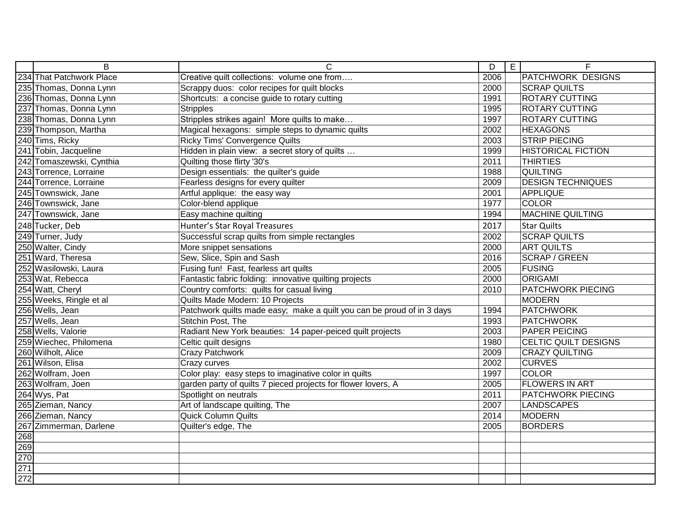|                                 | B                                                          | $\mathsf{C}$                                                           | $\overline{D}$ | E | $\overline{\mathsf{F}}$     |
|---------------------------------|------------------------------------------------------------|------------------------------------------------------------------------|----------------|---|-----------------------------|
|                                 | 234 That Patchwork Place<br>235 Thomas, Donna Lynn         | Creative quilt collections: volume one from                            | 2006           |   | <b>PATCHWORK DESIGNS</b>    |
|                                 |                                                            | Scrappy duos: color recipes for quilt blocks                           | 2000           |   | <b>SCRAP QUILTS</b>         |
|                                 | 236 Thomas, Donna Lynn                                     | Shortcuts: a concise guide to rotary cutting                           | 1991           |   | <b>ROTARY CUTTING</b>       |
|                                 | 237 Thomas, Donna Lynn                                     | <b>Stripples</b>                                                       | 1995           |   | <b>ROTARY CUTTING</b>       |
|                                 | 238 Thomas, Donna Lynn                                     | Stripples strikes again! More quilts to make                           | 1997           |   | <b>ROTARY CUTTING</b>       |
|                                 | 239 Thompson, Martha                                       | Magical hexagons: simple steps to dynamic quilts                       | 2002           |   | <b>HEXAGONS</b>             |
|                                 |                                                            | <b>Ricky Tims' Convergence Quilts</b>                                  | 2003           |   | <b>STRIP PIECING</b>        |
|                                 | 240 Tims, Ricky<br>241 Tobin, Jacqueline                   | Hidden in plain view: a secret story of quilts                         | 1999           |   | <b>HISTORICAL FICTION</b>   |
|                                 | 242 Tomaszewski, Cynthia<br>243 Torrence, Lorraine         | Quilting those flirty '30's                                            | 2011           |   | <b>THIRTIES</b>             |
|                                 |                                                            | Design essentials: the quilter's guide                                 | 1988           |   | <b>QUILTING</b>             |
|                                 | 244 Torrence, Lorraine                                     | Fearless designs for every quilter                                     | 2009           |   | <b>DESIGN TECHNIQUES</b>    |
|                                 | 245 Townswick, Jane                                        | Artful applique: the easy way                                          | 2001           |   | APPLIQUE                    |
|                                 | 246 Townswick, Jane                                        | Color-blend applique                                                   | 1977           |   | <b>COLOR</b>                |
|                                 | 247 Townswick, Jane                                        | Easy machine quilting                                                  | 1994           |   | <b>MACHINE QUILTING</b>     |
|                                 | 248 Tucker, Deb                                            | Hunter's Star Royal Treasures                                          | 2017           |   | <b>Star Quilts</b>          |
|                                 | 249 Turner, Judy<br>250 Walter, Cindy<br>251 Ward, Theresa | Successful scrap quilts from simple rectangles                         | 2002           |   | <b>SCRAP QUILTS</b>         |
|                                 |                                                            | More snippet sensations                                                | 2000           |   | <b>ART QUILTS</b>           |
|                                 |                                                            | Sew, Slice, Spin and Sash                                              | 2016           |   | <b>SCRAP / GREEN</b>        |
|                                 | 252 Wasilowski, Laura                                      | Fusing fun! Fast, fearless art quilts                                  | 2005           |   | FUSING                      |
|                                 | 253 Wat, Rebecca                                           | Fantastic fabric folding: innovative quilting projects                 | 2000           |   | <b>ORIGAMI</b>              |
|                                 | 254 Watt, Cheryl                                           | Country comforts: quilts for casual living                             | 2010           |   | <b>PATCHWORK PIECING</b>    |
|                                 | 255 Weeks, Ringle et al                                    | Quilts Made Modern: 10 Projects                                        |                |   | <b>MODERN</b>               |
|                                 | 256 Wells, Jean                                            | Patchwork quilts made easy; make a quilt you can be proud of in 3 days | 1994           |   | <b>PATCHWORK</b>            |
|                                 |                                                            | Stitchin Post, The                                                     | 1993           |   | <b>PATCHWORK</b>            |
|                                 | 257 Wells, Jean<br>258 Wells, Valorie                      | Radiant New York beauties: 14 paper-peiced quilt projects              | 2003           |   | PAPER PEICING               |
|                                 | 259 Wiechec, Philomena                                     | Celtic quilt designs                                                   | 1980           |   | <b>CELTIC QUILT DESIGNS</b> |
|                                 | 260 Wilholt, Alice                                         | <b>Crazy Patchwork</b>                                                 | 2009           |   | <b>CRAZY QUILTING</b>       |
|                                 | 261 Wilson, Elisa                                          | Crazy curves                                                           | 2002           |   | <b>CURVES</b>               |
|                                 | 262 Wolfram, Joen                                          | Color play: easy steps to imaginative color in quilts                  | 1997           |   | <b>COLOR</b>                |
|                                 | 263 Wolfram, Joen<br>264 Wys, Pat<br>265 Zieman, Nancy     | garden party of quilts 7 pieced projects for flower lovers, A          | 2005           |   | <b>FLOWERS IN ART</b>       |
|                                 |                                                            | Spotlight on neutrals                                                  | 2011           |   | <b>PATCHWORK PIECING</b>    |
|                                 |                                                            | Art of landscape quilting, The                                         | 2007           |   | <b>LANDSCAPES</b>           |
|                                 | 266 Zieman, Nancy                                          | Quick Column Quilts                                                    | 2014           |   | <b>MODERN</b>               |
|                                 | 267 Zimmerman, Darlene                                     | Quilter's edge, The                                                    | 2005           |   | <b>BORDERS</b>              |
|                                 |                                                            |                                                                        |                |   |                             |
| 268<br>269<br>271<br>272<br>272 |                                                            |                                                                        |                |   |                             |
|                                 |                                                            |                                                                        |                |   |                             |
|                                 |                                                            |                                                                        |                |   |                             |
|                                 |                                                            |                                                                        |                |   |                             |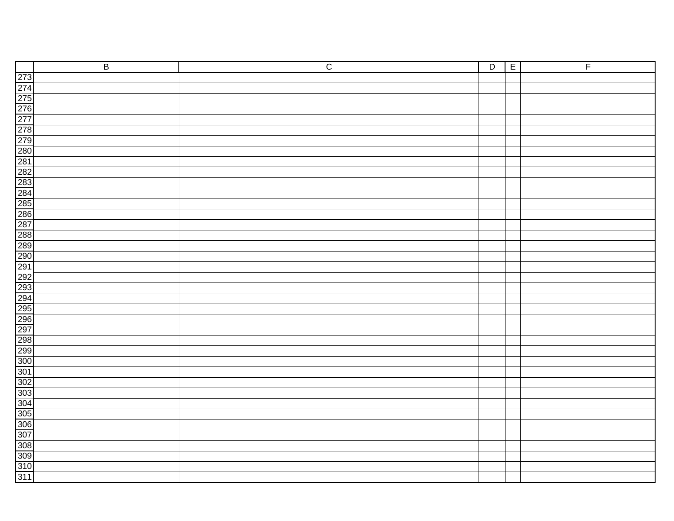| $\overline{B}$ | $\overline{C}$ | $\overline{D}$ | E | F |
|----------------|----------------|----------------|---|---|
|                |                |                |   |   |
|                |                |                |   |   |
|                |                |                |   |   |
|                |                |                |   |   |
|                |                |                |   |   |
|                |                |                |   |   |
|                |                |                |   |   |
|                |                |                |   |   |
|                |                |                |   |   |
|                |                |                |   |   |
|                |                |                |   |   |
|                |                |                |   |   |
|                |                |                |   |   |
|                |                |                |   |   |
|                |                |                |   |   |
|                |                |                |   |   |
|                |                |                |   |   |
|                |                |                |   |   |
|                |                |                |   |   |
|                |                |                |   |   |
|                |                |                |   |   |
|                |                |                |   |   |
|                |                |                |   |   |
|                |                |                |   |   |
|                |                |                |   |   |
|                |                |                |   |   |
|                |                |                |   |   |
|                |                |                |   |   |
|                |                |                |   |   |
|                |                |                |   |   |
|                |                |                |   |   |
|                |                |                |   |   |
|                |                |                |   |   |
|                |                |                |   |   |
|                |                |                |   |   |
|                |                |                |   |   |
|                |                |                |   |   |
|                |                |                |   |   |
|                |                |                |   |   |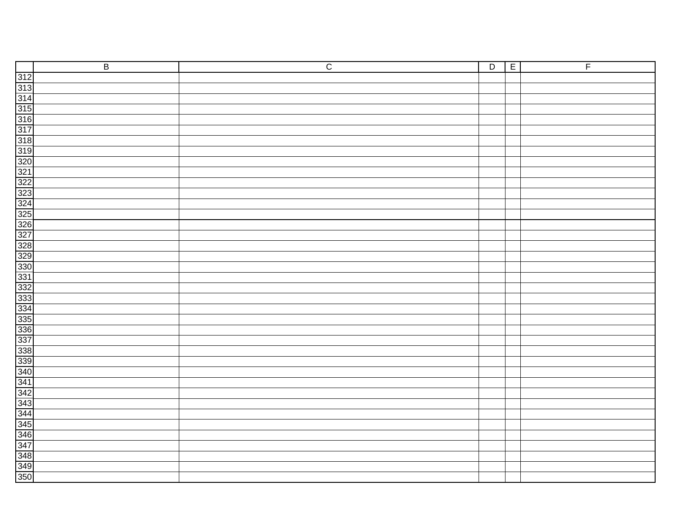| $\overline{B}$ | $\overline{C}$ | $\overline{D}$ | $\overline{E}$ | $\overline{F}$ |
|----------------|----------------|----------------|----------------|----------------|
|                |                |                |                |                |
|                |                |                |                |                |
|                |                |                |                |                |
|                |                |                |                |                |
|                |                |                |                |                |
|                |                |                |                |                |
|                |                |                |                |                |
|                |                |                |                |                |
|                |                |                |                |                |
|                |                |                |                |                |
|                |                |                |                |                |
|                |                |                |                |                |
|                |                |                |                |                |
|                |                |                |                |                |
|                |                |                |                |                |
|                |                |                |                |                |
|                |                |                |                |                |
|                |                |                |                |                |
|                |                |                |                |                |
|                |                |                |                |                |
|                |                |                |                |                |
|                |                |                |                |                |
|                |                |                |                |                |
|                |                |                |                |                |
|                |                |                |                |                |
|                |                |                |                |                |
|                |                |                |                |                |
|                |                |                |                |                |
|                |                |                |                |                |
|                |                |                |                |                |
|                |                |                |                |                |
|                |                |                |                |                |
|                |                |                |                |                |
|                |                |                |                |                |
|                |                |                |                |                |
|                |                |                |                |                |
|                |                |                |                |                |
|                |                |                |                |                |
|                |                |                |                |                |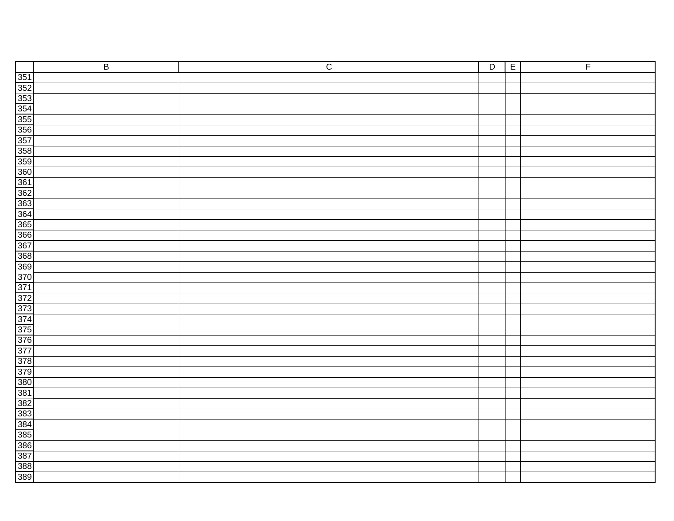| $\overline{B}$ | $\overline{C}$ | $\overline{D}$ | $\overline{E}$<br>$\overline{F}$ |
|----------------|----------------|----------------|----------------------------------|
|                |                |                |                                  |
|                |                |                |                                  |
|                |                |                |                                  |
|                |                |                |                                  |
|                |                |                |                                  |
|                |                |                |                                  |
|                |                |                |                                  |
|                |                |                |                                  |
|                |                |                |                                  |
|                |                |                |                                  |
|                |                |                |                                  |
|                |                |                |                                  |
|                |                |                |                                  |
|                |                |                |                                  |
|                |                |                |                                  |
|                |                |                |                                  |
|                |                |                |                                  |
|                |                |                |                                  |
|                |                |                |                                  |
|                |                |                |                                  |
|                |                |                |                                  |
|                |                |                |                                  |
|                |                |                |                                  |
|                |                |                |                                  |
|                |                |                |                                  |
|                |                |                |                                  |
|                |                |                |                                  |
|                |                |                |                                  |
|                |                |                |                                  |
|                |                |                |                                  |
|                |                |                |                                  |
|                |                |                |                                  |
|                |                |                |                                  |
|                |                |                |                                  |
|                |                |                |                                  |
|                |                |                |                                  |
|                |                |                |                                  |
|                |                |                |                                  |
|                |                |                |                                  |